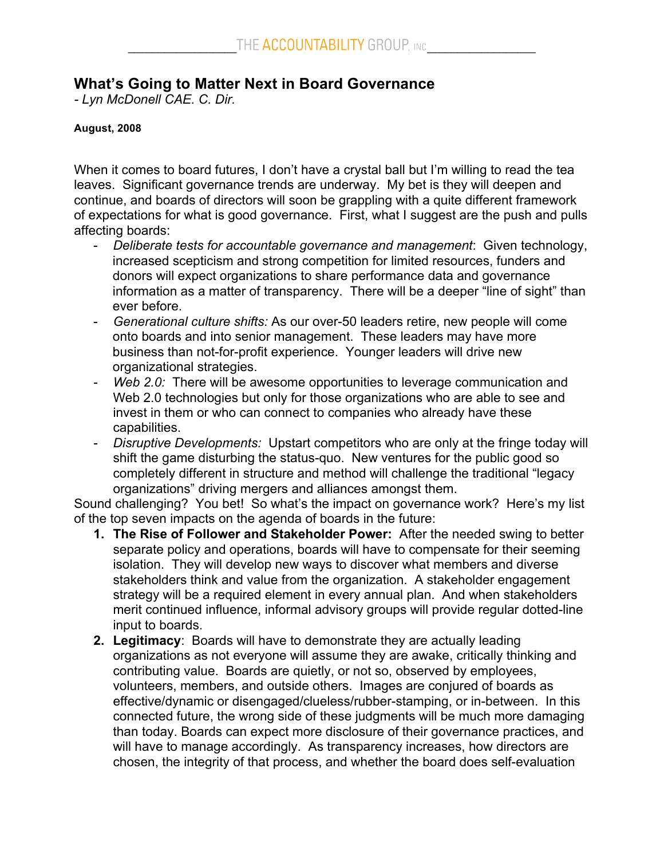## **What's Going to Matter Next in Board Governance**

*- Lyn McDonell CAE. C. Dir.*

## **August, 2008**

When it comes to board futures, I don't have a crystal ball but I'm willing to read the tea leaves. Significant governance trends are underway. My bet is they will deepen and continue, and boards of directors will soon be grappling with a quite different framework of expectations for what is good governance. First, what I suggest are the push and pulls affecting boards:

- *Deliberate tests for accountable governance and management*: Given technology, increased scepticism and strong competition for limited resources, funders and donors will expect organizations to share performance data and governance information as a matter of transparency. There will be a deeper "line of sight" than ever before.
- *Generational culture shifts:* As our over-50 leaders retire, new people will come onto boards and into senior management. These leaders may have more business than not-for-profit experience. Younger leaders will drive new organizational strategies.
- *Web 2.0:* There will be awesome opportunities to leverage communication and Web 2.0 technologies but only for those organizations who are able to see and invest in them or who can connect to companies who already have these capabilities.
- *Disruptive Developments:* Upstart competitors who are only at the fringe today will shift the game disturbing the status-quo. New ventures for the public good so completely different in structure and method will challenge the traditional "legacy organizations" driving mergers and alliances amongst them.

Sound challenging? You bet! So what's the impact on governance work? Here's my list of the top seven impacts on the agenda of boards in the future:

- **1. The Rise of Follower and Stakeholder Power:** After the needed swing to better separate policy and operations, boards will have to compensate for their seeming isolation. They will develop new ways to discover what members and diverse stakeholders think and value from the organization. A stakeholder engagement strategy will be a required element in every annual plan. And when stakeholders merit continued influence, informal advisory groups will provide regular dotted-line input to boards.
- **2. Legitimacy**: Boards will have to demonstrate they are actually leading organizations as not everyone will assume they are awake, critically thinking and contributing value. Boards are quietly, or not so, observed by employees, volunteers, members, and outside others. Images are conjured of boards as effective/dynamic or disengaged/clueless/rubber-stamping, or in-between. In this connected future, the wrong side of these judgments will be much more damaging than today. Boards can expect more disclosure of their governance practices, and will have to manage accordingly. As transparency increases, how directors are chosen, the integrity of that process, and whether the board does self-evaluation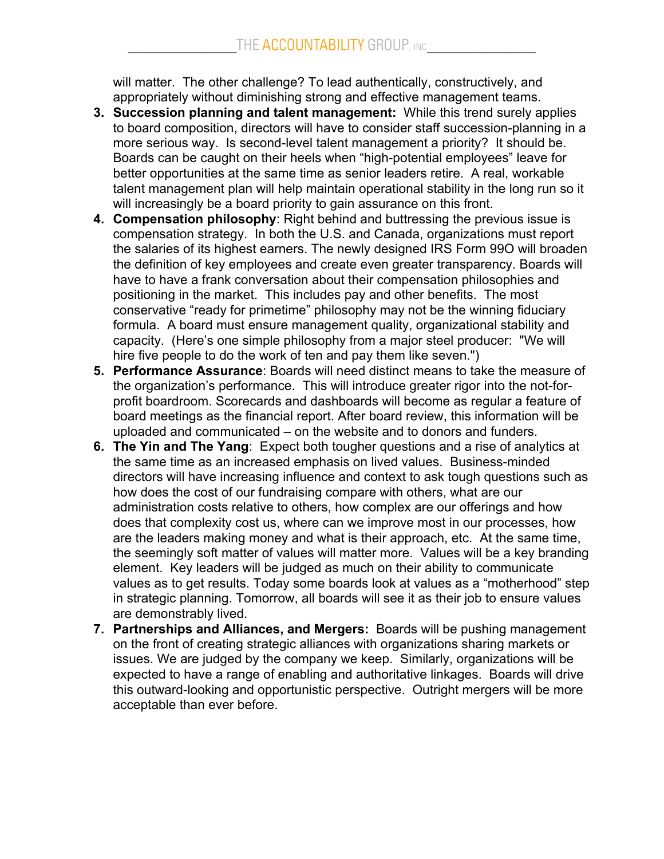will matter. The other challenge? To lead authentically, constructively, and appropriately without diminishing strong and effective management teams.

- **3. Succession planning and talent management:** While this trend surely applies to board composition, directors will have to consider staff succession-planning in a more serious way. Is second-level talent management a priority? It should be. Boards can be caught on their heels when "high-potential employees" leave for better opportunities at the same time as senior leaders retire. A real, workable talent management plan will help maintain operational stability in the long run so it will increasingly be a board priority to gain assurance on this front.
- **4. Compensation philosophy**: Right behind and buttressing the previous issue is compensation strategy. In both the U.S. and Canada, organizations must report the salaries of its highest earners. The newly designed IRS Form 99O will broaden the definition of key employees and create even greater transparency. Boards will have to have a frank conversation about their compensation philosophies and positioning in the market. This includes pay and other benefits. The most conservative "ready for primetime" philosophy may not be the winning fiduciary formula. A board must ensure management quality, organizational stability and capacity. (Here's one simple philosophy from a major steel producer: "We will hire five people to do the work of ten and pay them like seven.")
- **5. Performance Assurance**: Boards will need distinct means to take the measure of the organization's performance. This will introduce greater rigor into the not-forprofit boardroom. Scorecards and dashboards will become as regular a feature of board meetings as the financial report. After board review, this information will be uploaded and communicated – on the website and to donors and funders.
- **6. The Yin and The Yang**: Expect both tougher questions and a rise of analytics at the same time as an increased emphasis on lived values. Business-minded directors will have increasing influence and context to ask tough questions such as how does the cost of our fundraising compare with others, what are our administration costs relative to others, how complex are our offerings and how does that complexity cost us, where can we improve most in our processes, how are the leaders making money and what is their approach, etc. At the same time, the seemingly soft matter of values will matter more. Values will be a key branding element. Key leaders will be judged as much on their ability to communicate values as to get results. Today some boards look at values as a "motherhood" step in strategic planning. Tomorrow, all boards will see it as their job to ensure values are demonstrably lived.
- **7. Partnerships and Alliances, and Mergers:** Boards will be pushing management on the front of creating strategic alliances with organizations sharing markets or issues. We are judged by the company we keep. Similarly, organizations will be expected to have a range of enabling and authoritative linkages. Boards will drive this outward-looking and opportunistic perspective. Outright mergers will be more acceptable than ever before.